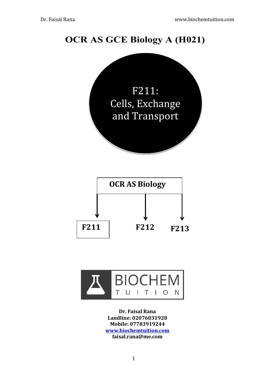# **OCR AS GCE Biology A (H021)**





**Dr.!Faisal!Rana** Landline: 02076031928 **Mobile:!07783919244 www.biochemtuition.com faisal.rana@me.com**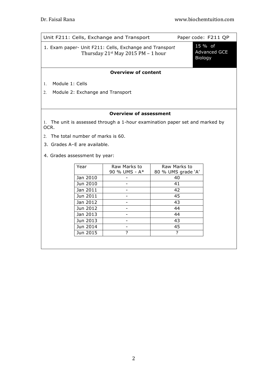| Unit F211: Cells, Exchange and Transport                                                           |          |               | Paper code: F211 QP                       |                          |  |  |
|----------------------------------------------------------------------------------------------------|----------|---------------|-------------------------------------------|--------------------------|--|--|
| 1. Exam paper- Unit F211: Cells, Exchange and Transport<br>Thursday $21^{st}$ May 2015 PM – 1 hour |          |               | 15 % of<br><b>Advanced GCE</b><br>Biology |                          |  |  |
| <b>Overview of content</b>                                                                         |          |               |                                           |                          |  |  |
| Module 1: Cells<br>$\mathbf{1}$ .                                                                  |          |               |                                           |                          |  |  |
| Module 2: Exchange and Transport<br>2.                                                             |          |               |                                           |                          |  |  |
|                                                                                                    |          |               |                                           |                          |  |  |
| <b>Overview of assessment</b>                                                                      |          |               |                                           |                          |  |  |
| 1. The unit is assessed through a 1-hour examination paper set and marked by<br>OCR.               |          |               |                                           |                          |  |  |
| 2 The total number of marks is 60.                                                                 |          |               |                                           |                          |  |  |
| 3. Grades A-E are available.                                                                       |          |               |                                           |                          |  |  |
| 4. Grades assessment by year:                                                                      |          |               |                                           |                          |  |  |
|                                                                                                    | Year     | Raw Marks to  |                                           | Raw Marks to             |  |  |
|                                                                                                    | Jan 2010 | 90 % UMS - A* |                                           | 80 % UMS grade 'A'<br>40 |  |  |
|                                                                                                    | Jun 2010 |               |                                           | 41                       |  |  |

1 Jan 2011 - 42<br>
Jun 2011 - 45

Jan 2012 - 43 Jun 2012 - 44 Jan 2013 **- 44** Jun 2013 **43** Jun 2014 - 45 Jun 2015 ? ?

Jun 2011 - 45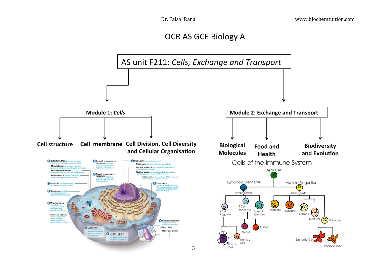OCR AS GCE Biology A

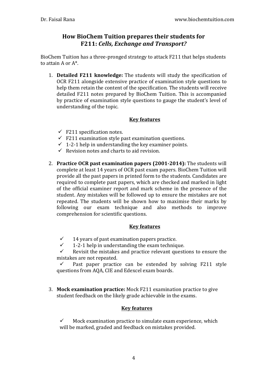### **How BioChem Tuition prepares their students for F211: Cells, Exchange and Transport?**

BioChem Tuition has a three-pronged strategy to attack F211 that helps students to attain  $A$  or  $A^*$ .

1. **Detailed F211 knowledge:** The students will study the specification of OCR F211 alongside extensive practice of examination style questions to help them retain the content of the specification. The students will receive detailed F211 notes prepared by BioChem Tuition. This is accompanied by practice of examination style questions to gauge the student's level of understanding of the topic.

#### **Key features**

- $\checkmark$  F211 specification notes.
- $\checkmark$  F211 examination style past examination questions.
- $\checkmark$  1-2-1 help in understanding the key examiner points.
- $\checkmark$  Revision notes and charts to aid revision.
- 2. **Practice OCR past examination papers (2001-2014):** The students will complete at least 14 years of OCR past exam papers. BioChem Tuition will provide all the past papers in printed form to the students. Candidates are required to complete past papers, which are checked and marked in light of the official examiner report and mark scheme in the presence of the student. Any mistakes will be followed up to ensure the mistakes are not repeated. The students will be shown how to maximise their marks by following our exam technique and also methods to improve comprehension for scientific questions.

#### **Key features**

- $\checkmark$  14 years of past examination papers practice.
- $\checkmark$  1-2-1 help in understanding the exam technique.

 $\checkmark$  Revisit the mistakes and practice relevant questions to ensure the mistakes are not repeated.

 $\checkmark$  Past paper practice can be extended by solving F211 style questions from AQA, CIE and Edexcel exam boards.

3. Mock examination practice: Mock F211 examination practice to give student feedback on the likely grade achievable in the exams.

#### **Key features**

Mock examination practice to simulate exam experience, which will be marked, graded and feedback on mistakes provided.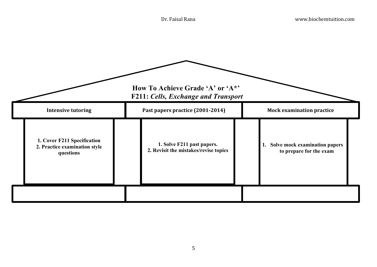|                                                                           | How To Achieve Grade 'A' or 'A*'<br><b>F211: Cells, Exchange and Transport</b> |                                                             |
|---------------------------------------------------------------------------|--------------------------------------------------------------------------------|-------------------------------------------------------------|
| <b>Intensive tutoring</b>                                                 | Past papers practice (2001-2014)                                               | <b>Mock examination practice</b>                            |
| 1. Cover F211 Specification<br>2. Practice examination style<br>questions | 1. Solve F211 past papers.<br>2. Revisit the mistakes/revise topics            | 1. Solve mock examination papers<br>to prepare for the exam |
|                                                                           |                                                                                |                                                             |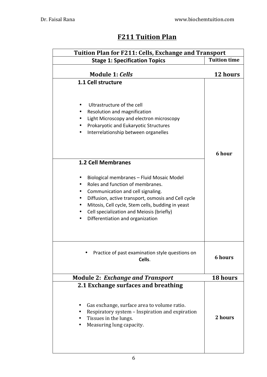## **F211 Tuition Plan**

| Tuition Plan for F211: Cells, Exchange and Transport                                                                                                                                                                                                                                                                      |                     |  |  |  |
|---------------------------------------------------------------------------------------------------------------------------------------------------------------------------------------------------------------------------------------------------------------------------------------------------------------------------|---------------------|--|--|--|
| <b>Stage 1: Specification Topics</b>                                                                                                                                                                                                                                                                                      | <b>Tuition time</b> |  |  |  |
| <b>Module 1: Cells</b>                                                                                                                                                                                                                                                                                                    | 12 hours            |  |  |  |
| 1.1 Cell structure<br>Ultrastructure of the cell<br>Resolution and magnification<br>Light Microscopy and electron microscopy<br>Prokaryotic and Eukaryotic Structures<br>Interrelationship between organelles<br>٠<br><b>1.2 Cell Membranes</b>                                                                           | 6 hour              |  |  |  |
| Biological membranes - Fluid Mosaic Model<br>Roles and function of membranes.<br>Communication and cell signaling.<br>Diffusion, active transport, osmosis and Cell cycle<br>٠<br>Mitosis, Cell cycle, Stem cells, budding in yeast<br>Cell specialization and Meiosis (briefly)<br>٠<br>Differentiation and organization |                     |  |  |  |
| Practice of past examination style questions on<br>Cells.                                                                                                                                                                                                                                                                 | <b>6 hours</b>      |  |  |  |
| <b>Module 2: Exchange and Transport</b>                                                                                                                                                                                                                                                                                   | 18 hours            |  |  |  |
| 2.1 Exchange surfaces and breathing<br>Gas exchange, surface area to volume ratio.<br>Respiratory system - Inspiration and expiration<br>Tissues in the lungs.<br>Measuring lung capacity.                                                                                                                                | 2 hours             |  |  |  |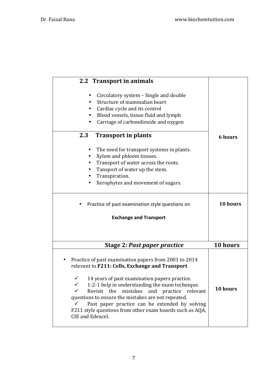| 2.2 Transport in animals                                                                                                                                                                                                                                                                                                                                                                                                                                                             |                |
|--------------------------------------------------------------------------------------------------------------------------------------------------------------------------------------------------------------------------------------------------------------------------------------------------------------------------------------------------------------------------------------------------------------------------------------------------------------------------------------|----------------|
| Circulatory system – Single and double<br>Structure of mammalian heart<br>Cardiac cycle and its control<br>$\bullet$<br>Blood vessels, tissue fluid and lymph<br>$\bullet$<br>Carriage of carbondioxide and oxygen                                                                                                                                                                                                                                                                   |                |
| 2.3<br><b>Transport in plants</b>                                                                                                                                                                                                                                                                                                                                                                                                                                                    | <b>6 hours</b> |
| The need for transport systems in plants.<br>Xylem and phloem tissues.<br>$\bullet$<br>Transport of water across the roots.<br>Tansport of water up the stem.<br>Transpiration.<br>Xerophytes and movement of sugars.                                                                                                                                                                                                                                                                |                |
| Practice of past examination style questions on                                                                                                                                                                                                                                                                                                                                                                                                                                      | 10 hours       |
| <b>Exchange and Transport</b>                                                                                                                                                                                                                                                                                                                                                                                                                                                        |                |
|                                                                                                                                                                                                                                                                                                                                                                                                                                                                                      |                |
| <b>Stage 2: Past paper practice</b>                                                                                                                                                                                                                                                                                                                                                                                                                                                  | 10 hours       |
| Practice of past examination papers from 2001 to 2014<br>relevant to F211: Cells, Exchange and Transport<br>$\checkmark$<br>14 years of past examination papers practice.<br>1-2-1 help in understanding the exam technique.<br>✓<br>Revisit the mistakes and practice<br>✓<br>relevant<br>questions to ensure the mistakes are not repeated.<br>Past paper practice can be extended by solving<br>✓<br>F211 style questions from other exam boards such as AQA,<br>CIE and Edexcel. | 10 hours       |